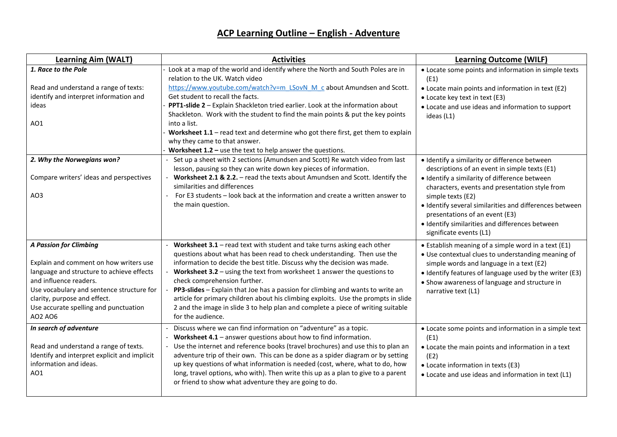| <b>Learning Aim (WALT)</b>                                                          | <b>Activities</b>                                                                                                                                     | <b>Learning Outcome (WILF)</b>                                                            |
|-------------------------------------------------------------------------------------|-------------------------------------------------------------------------------------------------------------------------------------------------------|-------------------------------------------------------------------------------------------|
| 1. Race to the Pole                                                                 | Look at a map of the world and identify where the North and South Poles are in<br>relation to the UK. Watch video                                     | • Locate some points and information in simple texts<br>(E1)                              |
| Read and understand a range of texts:                                               | https://www.youtube.com/watch?v=m_LSovN_M_c about Amundsen and Scott.                                                                                 | • Locate main points and information in text (E2)                                         |
| identify and interpret information and                                              | Get student to recall the facts.                                                                                                                      | • Locate key text in text (E3)                                                            |
| ideas                                                                               | PPT1-slide 2 - Explain Shackleton tried earlier. Look at the information about                                                                        | • Locate and use ideas and information to support                                         |
|                                                                                     | Shackleton. Work with the student to find the main points & put the key points                                                                        | ideas (L1)                                                                                |
| AO1                                                                                 | into a list.                                                                                                                                          |                                                                                           |
|                                                                                     | Worksheet $1.1$ – read text and determine who got there first, get them to explain                                                                    |                                                                                           |
|                                                                                     | why they came to that answer.                                                                                                                         |                                                                                           |
|                                                                                     | Worksheet $1.2$ – use the text to help answer the questions.                                                                                          |                                                                                           |
| 2. Why the Norwegians won?                                                          | Set up a sheet with 2 sections (Amundsen and Scott) Re watch video from last                                                                          | · Identify a similarity or difference between                                             |
|                                                                                     | lesson, pausing so they can write down key pieces of information.                                                                                     | descriptions of an event in simple texts (E1)                                             |
| Compare writers' ideas and perspectives                                             | Worksheet 2.1 & 2.2. - read the texts about Amundsen and Scott. Identify the<br>similarities and differences                                          | · Identify a similarity of difference between                                             |
| AO3                                                                                 | For E3 students - look back at the information and create a written answer to                                                                         | characters, events and presentation style from                                            |
|                                                                                     | the main question.                                                                                                                                    | simple texts (E2)                                                                         |
|                                                                                     |                                                                                                                                                       | · Identify several similarities and differences between<br>presentations of an event (E3) |
|                                                                                     |                                                                                                                                                       | · Identify similarities and differences between                                           |
|                                                                                     |                                                                                                                                                       | significate events (L1)                                                                   |
|                                                                                     |                                                                                                                                                       |                                                                                           |
| <b>A Passion for Climbing</b>                                                       | Worksheet $3.1$ – read text with student and take turns asking each other                                                                             | • Establish meaning of a simple word in a text (E1)                                       |
|                                                                                     | questions about what has been read to check understanding. Then use the                                                                               | • Use contextual clues to understanding meaning of                                        |
| Explain and comment on how writers use<br>language and structure to achieve effects | information to decide the best title. Discuss why the decision was made.<br>Worksheet $3.2$ – using the text from worksheet 1 answer the questions to | simple words and language in a text (E2)                                                  |
| and influence readers.                                                              | check comprehension further.                                                                                                                          | • Identify features of language used by the writer (E3)                                   |
| Use vocabulary and sentence structure for                                           | PP3-slides - Explain that Joe has a passion for climbing and wants to write an                                                                        | • Show awareness of language and structure in<br>narrative text (L1)                      |
| clarity, purpose and effect.                                                        | article for primary children about his climbing exploits. Use the prompts in slide                                                                    |                                                                                           |
| Use accurate spelling and punctuation                                               | 2 and the image in slide 3 to help plan and complete a piece of writing suitable                                                                      |                                                                                           |
| AO2 AO6                                                                             | for the audience.                                                                                                                                     |                                                                                           |
| In search of adventure                                                              | Discuss where we can find information on "adventure" as a topic.                                                                                      | • Locate some points and information in a simple text                                     |
|                                                                                     | Worksheet $4.1$ – answer questions about how to find information.                                                                                     | (E1)                                                                                      |
| Read and understand a range of texts.                                               | - Use the internet and reference books (travel brochures) and use this to plan an                                                                     | • Locate the main points and information in a text                                        |
| Identify and interpret explicit and implicit                                        | adventure trip of their own. This can be done as a spider diagram or by setting                                                                       | (E2)                                                                                      |
| information and ideas.                                                              | up key questions of what information is needed (cost, where, what to do, how                                                                          | • Locate information in texts (E3)                                                        |
| AO1                                                                                 | long, travel options, who with). Then write this up as a plan to give to a parent                                                                     | • Locate and use ideas and information in text (L1)                                       |
|                                                                                     | or friend to show what adventure they are going to do.                                                                                                |                                                                                           |
|                                                                                     |                                                                                                                                                       |                                                                                           |